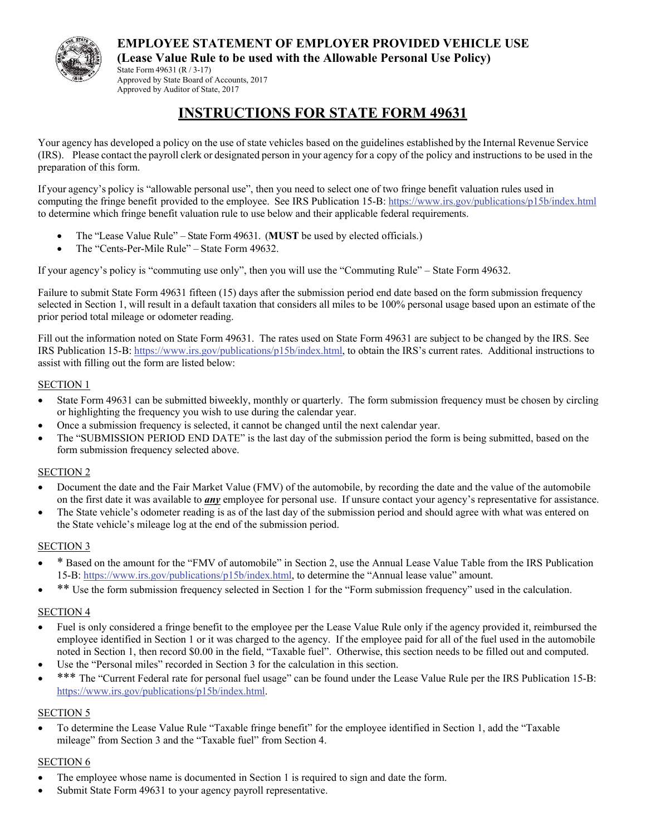

**EMPLOYEE STATEMENT OF EMPLOYER PROVIDED VEHICLE USE (Lease Value Rule to be used with the Allowable Personal Use Policy)**  State Form 49631 (R / 3-17)

Approved by State Board of Accounts, 2017 Approved by Auditor of State, 2017

# **INSTRUCTIONS FOR STATE FORM 49631**

Your agency has developed a policy on the use of state vehicles based on the guidelines established by the Internal Revenue Service (IRS). Please contact the payroll clerk or designated person in your agency for a copy of the policy and instructions to be used in the preparation of this form.

If your agency's policy is "allowable personal use", then you need to select one of two fringe benefit valuation rules used in computing the fringe benefit provided to the employee. See IRS Publication 15-B: https://www.irs.gov/publications/p15b/index.html to determine which fringe benefit valuation rule to use below and their applicable federal requirements.

- The "Lease Value Rule" State Form 49631. (**MUST** be used by elected officials.)
- The "Cents-Per-Mile Rule" State Form 49632.

If your agency's policy is "commuting use only", then you will use the "Commuting Rule" – State Form 49632.

Failure to submit State Form 49631 fifteen (15) days after the submission period end date based on the form submission frequency selected in Section 1, will result in a default taxation that considers all miles to be 100% personal usage based upon an estimate of the prior period total mileage or odometer reading.

Fill out the information noted on State Form 49631. The rates used on State Form 49631 are subject to be changed by the IRS. See IRS Publication 15-B: https://www.irs.gov/publications/p15b/index.html, to obtain the IRS's current rates. Additional instructions to assist with filling out the form are listed below:

### SECTION 1

- State Form 49631 can be submitted biweekly, monthly or quarterly. The form submission frequency must be chosen by circling or highlighting the frequency you wish to use during the calendar year.
- Once a submission frequency is selected, it cannot be changed until the next calendar year.
- The "SUBMISSION PERIOD END DATE" is the last day of the submission period the form is being submitted, based on the form submission frequency selected above.

#### SECTION 2

- Document the date and the Fair Market Value (FMV) of the automobile, by recording the date and the value of the automobile on the first date it was available to *any* employee for personal use. If unsure contact your agency's representative for assistance.
- The State vehicle's odometer reading is as of the last day of the submission period and should agree with what was entered on the State vehicle's mileage log at the end of the submission period.

#### SECTION 3

- \* Based on the amount for the "FMV of automobile" in Section 2, use the Annual Lease Value Table from the IRS Publication 15-B: https://www.irs.gov/publications/p15b/index.html, to determine the "Annual lease value" amount.
- \*\* Use the form submission frequency selected in Section 1 for the "Form submission frequency" used in the calculation.

#### SECTION 4

- Fuel is only considered a fringe benefit to the employee per the Lease Value Rule only if the agency provided it, reimbursed the employee identified in Section 1 or it was charged to the agency. If the employee paid for all of the fuel used in the automobile noted in Section 1, then record \$0.00 in the field, "Taxable fuel". Otherwise, this section needs to be filled out and computed.
- Use the "Personal miles" recorded in Section 3 for the calculation in this section.
- \*\*\* The "Current Federal rate for personal fuel usage" can be found under the Lease Value Rule per the IRS Publication 15-B: https://www.irs.gov/publications/p15b/index.html.

### SECTION 5

 To determine the Lease Value Rule "Taxable fringe benefit" for the employee identified in Section 1, add the "Taxable mileage" from Section 3 and the "Taxable fuel" from Section 4.

#### SECTION 6

- The employee whose name is documented in Section 1 is required to sign and date the form.
- Submit State Form 49631 to your agency payroll representative.